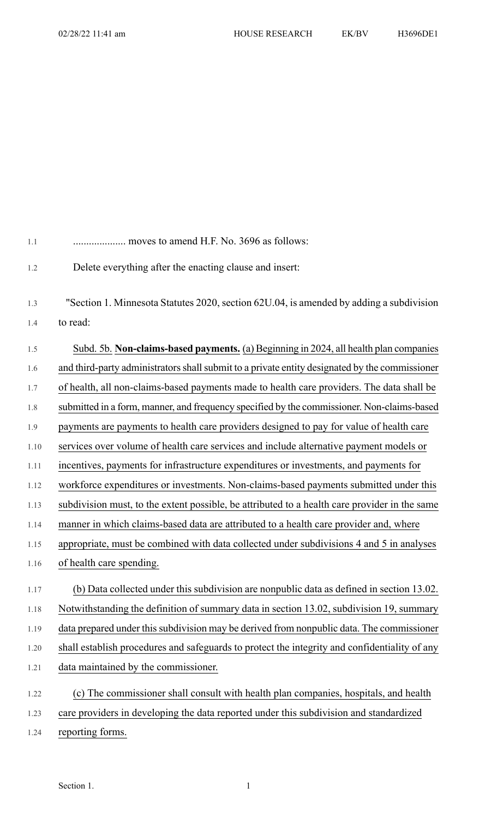| 1.1  | moves to amend H.F. No. 3696 as follows:                                                       |
|------|------------------------------------------------------------------------------------------------|
| 1.2  | Delete everything after the enacting clause and insert:                                        |
| 1.3  | "Section 1. Minnesota Statutes 2020, section 62U.04, is amended by adding a subdivision        |
| 1.4  | to read:                                                                                       |
| 1.5  | Subd. 5b. Non-claims-based payments. (a) Beginning in 2024, all health plan companies          |
| 1.6  | and third-party administrators shall submit to a private entity designated by the commissioner |
| 1.7  | of health, all non-claims-based payments made to health care providers. The data shall be      |
| 1.8  | submitted in a form, manner, and frequency specified by the commissioner. Non-claims-based     |
| 1.9  | payments are payments to health care providers designed to pay for value of health care        |
| 1.10 | services over volume of health care services and include alternative payment models or         |
| 1.11 | incentives, payments for infrastructure expenditures or investments, and payments for          |
| 1.12 | workforce expenditures or investments. Non-claims-based payments submitted under this          |
| 1.13 | subdivision must, to the extent possible, be attributed to a health care provider in the same  |
| 1.14 | manner in which claims-based data are attributed to a health care provider and, where          |
| 1.15 | appropriate, must be combined with data collected under subdivisions 4 and 5 in analyses       |
| 1.16 | of health care spending.                                                                       |
| 1.17 | (b) Data collected under this subdivision are nonpublic data as defined in section 13.02.      |
| 1.18 | Notwithstanding the definition of summary data in section 13.02, subdivision 19, summary       |
| 1.19 | data prepared under this subdivision may be derived from nonpublic data. The commissioner      |
| 1.20 | shall establish procedures and safeguards to protect the integrity and confidentiality of any  |
| 1.21 | data maintained by the commissioner.                                                           |
| 1.22 | (c) The commissioner shall consult with health plan companies, hospitals, and health           |
| 1.23 | care providers in developing the data reported under this subdivision and standardized         |
| 1.24 | reporting forms.                                                                               |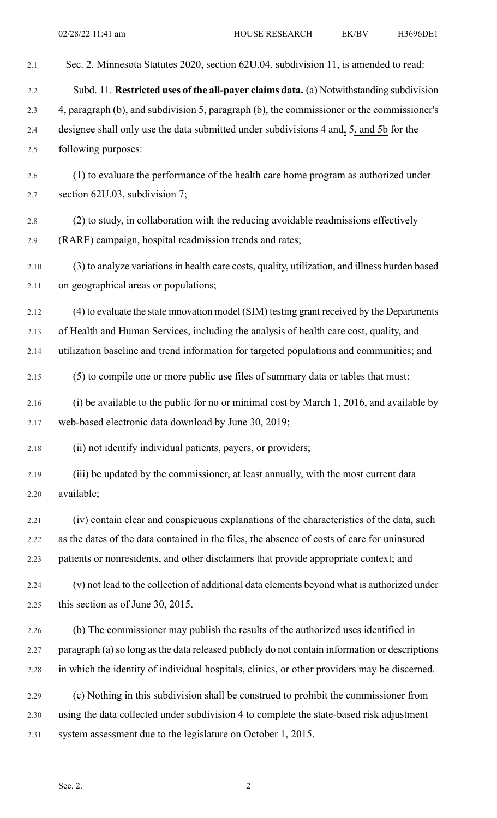| 2.1     | Sec. 2. Minnesota Statutes 2020, section 62U.04, subdivision 11, is amended to read:           |
|---------|------------------------------------------------------------------------------------------------|
| 2.2     | Subd. 11. Restricted uses of the all-payer claims data. (a) Notwithstanding subdivision        |
| 2.3     | 4, paragraph (b), and subdivision 5, paragraph (b), the commissioner or the commissioner's     |
| 2.4     | designee shall only use the data submitted under subdivisions 4 and, 5, and 5b for the         |
| 2.5     | following purposes:                                                                            |
| 2.6     | (1) to evaluate the performance of the health care home program as authorized under            |
| 2.7     | section 62U.03, subdivision 7;                                                                 |
| $2.8\,$ | (2) to study, in collaboration with the reducing avoidable readmissions effectively            |
| 2.9     | (RARE) campaign, hospital readmission trends and rates;                                        |
| 2.10    | (3) to analyze variations in health care costs, quality, utilization, and illness burden based |
| 2.11    | on geographical areas or populations;                                                          |
| 2.12    | (4) to evaluate the state innovation model (SIM) testing grant received by the Departments     |
| 2.13    | of Health and Human Services, including the analysis of health care cost, quality, and         |
| 2.14    | utilization baseline and trend information for targeted populations and communities; and       |
| 2.15    | (5) to compile one or more public use files of summary data or tables that must:               |
| 2.16    | (i) be available to the public for no or minimal cost by March 1, 2016, and available by       |
| 2.17    | web-based electronic data download by June 30, 2019;                                           |
| 2.18    | (ii) not identify individual patients, payers, or providers;                                   |
| 2.19    | (iii) be updated by the commissioner, at least annually, with the most current data            |
| 2.20    | available;                                                                                     |
| 2.21    | (iv) contain clear and conspicuous explanations of the characteristics of the data, such       |
| 2.22    | as the dates of the data contained in the files, the absence of costs of care for uninsured    |
| 2.23    | patients or nonresidents, and other disclaimers that provide appropriate context; and          |
| 2.24    | (v) not lead to the collection of additional data elements beyond what is authorized under     |
| 2.25    | this section as of June 30, 2015.                                                              |
| 2.26    | (b) The commissioner may publish the results of the authorized uses identified in              |
| 2.27    | paragraph (a) so long as the data released publicly do not contain information or descriptions |
| 2.28    | in which the identity of individual hospitals, clinics, or other providers may be discerned.   |
| 2.29    | (c) Nothing in this subdivision shall be construed to prohibit the commissioner from           |
| 2.30    | using the data collected under subdivision 4 to complete the state-based risk adjustment       |
| 2.31    | system assessment due to the legislature on October 1, 2015.                                   |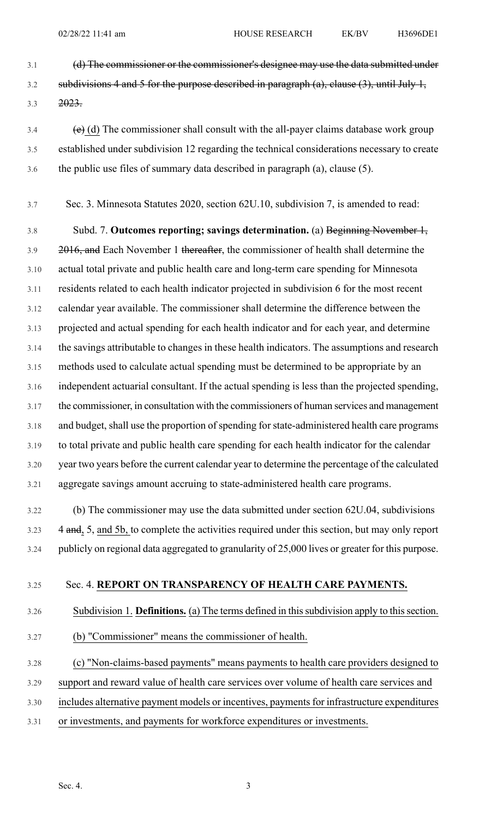- 3.1 (d) The commissioner or the commissioner's designee may use the data submitted under 3.2 subdivisions 4 and 5 for the purpose described in paragraph  $(a)$ , clause  $(3)$ , until July 1, 3.3 2023.
- $3.4$  (e) (d) The commissioner shall consult with the all-payer claims database work group 3.5 established under subdivision 12 regarding the technical considerations necessary to create 3.6 the public use files of summary data described in paragraph (a), clause (5).
- 3.7 Sec. 3. Minnesota Statutes 2020, section 62U.10, subdivision 7, is amended to read:

3.8 Subd. 7. **Outcomes reporting; savings determination.** (a) Beginning November 1, 3.9 2016, and Each November 1 thereafter, the commissioner of health shall determine the 3.10 actual total private and public health care and long-term care spending for Minnesota 3.11 residents related to each health indicator projected in subdivision 6 for the most recent 3.12 calendar year available. The commissioner shall determine the difference between the 3.13 projected and actual spending for each health indicator and for each year, and determine 3.14 the savings attributable to changes in these health indicators. The assumptions and research 3.15 methods used to calculate actual spending must be determined to be appropriate by an 3.16 independent actuarial consultant. If the actual spending is less than the projected spending, 3.17 the commissioner, in consultation with the commissioners of human services and management 3.18 and budget, shall use the proportion of spending for state-administered health care programs 3.19 to total private and public health care spending for each health indicator for the calendar 3.20 year two years before the current calendar year to determine the percentage of the calculated 3.21 aggregate savings amount accruing to state-administered health care programs.

3.22 (b) The commissioner may use the data submitted under section 62U.04, subdivisions 3.23 4 and, 5, and 5b, to complete the activities required under this section, but may only report 3.24 publicly on regional data aggregated to granularity of 25,000 lives or greater for this purpose.

## 3.25 Sec. 4. **REPORT ON TRANSPARENCY OF HEALTH CARE PAYMENTS.**

3.26 Subdivision 1. **Definitions.** (a) The terms defined in thissubdivision apply to thissection.

- 3.27 (b) "Commissioner" means the commissioner of health.
- 3.28 (c) "Non-claims-based payments" means payments to health care providers designed to
- 3.29 support and reward value of health care services over volume of health care services and
- 3.30 includes alternative payment models or incentives, payments for infrastructure expenditures
- 3.31 or investments, and payments for workforce expenditures or investments.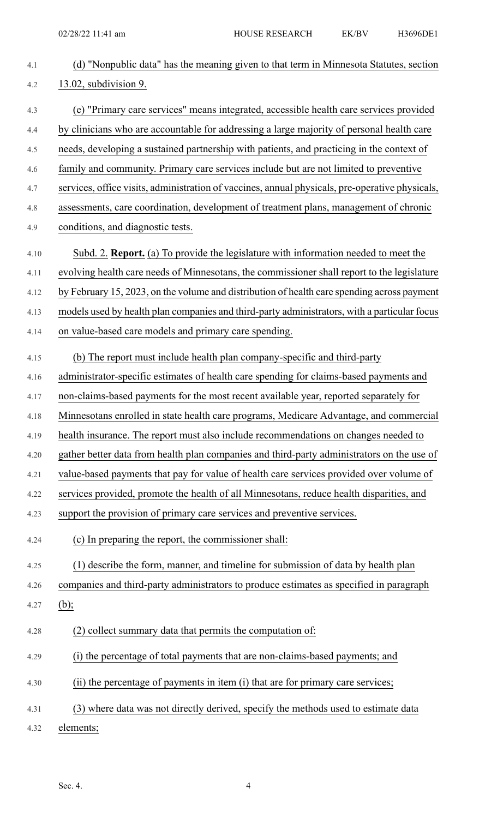| 4.1  | (d) "Nonpublic data" has the meaning given to that term in Minnesota Statutes, section          |
|------|-------------------------------------------------------------------------------------------------|
| 4.2  | 13.02, subdivision 9.                                                                           |
| 4.3  | (e) "Primary care services" means integrated, accessible health care services provided          |
| 4.4  | by clinicians who are accountable for addressing a large majority of personal health care       |
| 4.5  | needs, developing a sustained partnership with patients, and practicing in the context of       |
| 4.6  | family and community. Primary care services include but are not limited to preventive           |
| 4.7  | services, office visits, administration of vaccines, annual physicals, pre-operative physicals, |
| 4.8  | assessments, care coordination, development of treatment plans, management of chronic           |
| 4.9  | conditions, and diagnostic tests.                                                               |
| 4.10 | Subd. 2. Report. (a) To provide the legislature with information needed to meet the             |
| 4.11 | evolving health care needs of Minnesotans, the commissioner shall report to the legislature     |
| 4.12 | by February 15, 2023, on the volume and distribution of health care spending across payment     |
| 4.13 | models used by health plan companies and third-party administrators, with a particular focus    |
| 4.14 | on value-based care models and primary care spending.                                           |
| 4.15 | (b) The report must include health plan company-specific and third-party                        |
| 4.16 | administrator-specific estimates of health care spending for claims-based payments and          |
| 4.17 | non-claims-based payments for the most recent available year, reported separately for           |
| 4.18 | Minnesotans enrolled in state health care programs, Medicare Advantage, and commercial          |
| 4.19 | health insurance. The report must also include recommendations on changes needed to             |
| 4.20 | gather better data from health plan companies and third-party administrators on the use of      |
| 4.21 | value-based payments that pay for value of health care services provided over volume of         |
| 4.22 | services provided, promote the health of all Minnesotans, reduce health disparities, and        |
| 4.23 | support the provision of primary care services and preventive services.                         |
| 4.24 | (c) In preparing the report, the commissioner shall:                                            |
| 4.25 | (1) describe the form, manner, and timeline for submission of data by health plan               |
| 4.26 | companies and third-party administrators to produce estimates as specified in paragraph         |
| 4.27 | $(b)$ ;                                                                                         |
| 4.28 | (2) collect summary data that permits the computation of:                                       |
| 4.29 | (i) the percentage of total payments that are non-claims-based payments; and                    |
| 4.30 | (ii) the percentage of payments in item (i) that are for primary care services;                 |
| 4.31 | (3) where data was not directly derived, specify the methods used to estimate data              |
| 4.32 | elements;                                                                                       |